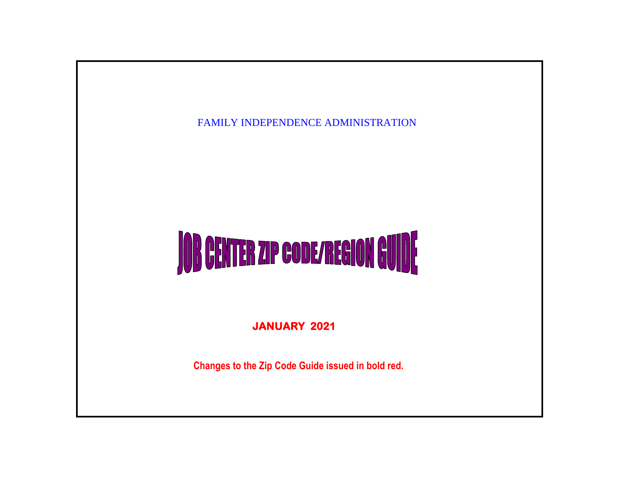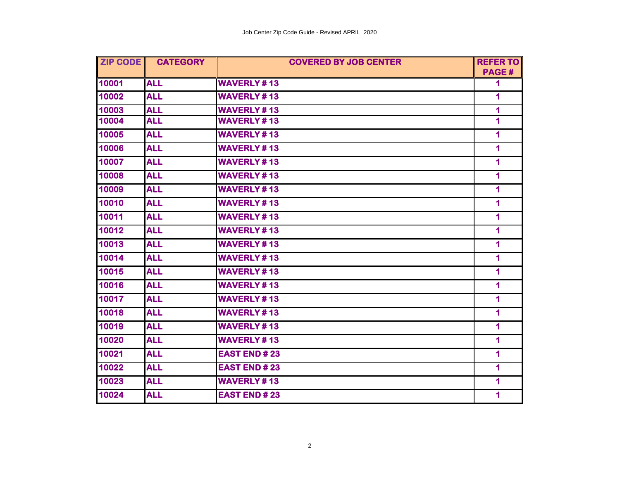| <b>ZIP CODE</b> | <b>CATEGORY</b> | <b>COVERED BY JOB CENTER</b> | <b>REFER TO</b>         |
|-----------------|-----------------|------------------------------|-------------------------|
|                 |                 |                              | PAGE#                   |
| 10001           | <b>ALL</b>      | <b>WAVERLY#13</b>            | 1                       |
| 10002           | <b>ALL</b>      | <b>WAVERLY#13</b>            | 1                       |
| 10003           | <b>ALL</b>      | <b>WAVERLY#13</b>            | 1                       |
| 10004           | <b>ALL</b>      | <b>WAVERLY#13</b>            | 1                       |
| 10005           | <b>ALL</b>      | <b>WAVERLY#13</b>            | 1                       |
| 10006           | <b>ALL</b>      | <b>WAVERLY#13</b>            | 1                       |
| 10007           | <b>ALL</b>      | <b>WAVERLY#13</b>            | 1                       |
| 10008           | <b>ALL</b>      | <b>WAVERLY#13</b>            | 1                       |
| 10009           | <b>ALL</b>      | <b>WAVERLY#13</b>            | 1                       |
| 10010           | <b>ALL</b>      | <b>WAVERLY#13</b>            | 1                       |
| 10011           | <b>ALL</b>      | <b>WAVERLY#13</b>            | 1                       |
| 10012           | <b>ALL</b>      | <b>WAVERLY#13</b>            | 1                       |
| 10013           | <b>ALL</b>      | <b>WAVERLY#13</b>            | 1                       |
| 10014           | <b>ALL</b>      | <b>WAVERLY#13</b>            | 1                       |
| 10015           | <b>ALL</b>      | <b>WAVERLY#13</b>            | 1                       |
| 10016           | <b>ALL</b>      | <b>WAVERLY#13</b>            | 1                       |
| 10017           | <b>ALL</b>      | <b>WAVERLY#13</b>            | 1                       |
| 10018           | <b>ALL</b>      | <b>WAVERLY#13</b>            | 1                       |
| 10019           | <b>ALL</b>      | <b>WAVERLY#13</b>            | 1                       |
| 10020           | <b>ALL</b>      | <b>WAVERLY#13</b>            | $\overline{\mathbf{1}}$ |
| 10021           | <b>ALL</b>      | <b>EAST END #23</b>          | 1                       |
| 10022           | <b>ALL</b>      | <b>EAST END#23</b>           | 1                       |
| 10023           | <b>ALL</b>      | <b>WAVERLY#13</b>            | 1                       |
| 10024           | <b>ALL</b>      | <b>EAST END #23</b>          | 1                       |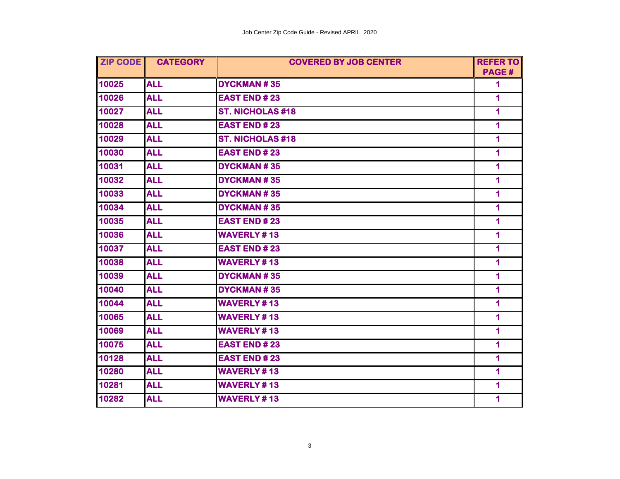| <b>ZIP CODE</b> | <b>CATEGORY</b> | <b>COVERED BY JOB CENTER</b> | <b>REFER TO</b>         |
|-----------------|-----------------|------------------------------|-------------------------|
|                 |                 |                              | PAGE#                   |
| 10025           | <b>ALL</b>      | <b>DYCKMAN#35</b>            | 1                       |
| 10026           | <b>ALL</b>      | <b>EAST END #23</b>          | 1                       |
| 10027           | <b>ALL</b>      | <b>ST. NICHOLAS #18</b>      | 1                       |
| 10028           | <b>ALL</b>      | <b>EAST END#23</b>           | $\blacksquare$          |
| 10029           | <b>ALL</b>      | <b>ST. NICHOLAS #18</b>      | 1                       |
| 10030           | <b>ALL</b>      | <b>EAST END #23</b>          | 1                       |
| 10031           | <b>ALL</b>      | <b>DYCKMAN#35</b>            | 1                       |
| 10032           | <b>ALL</b>      | <b>DYCKMAN#35</b>            | 1                       |
| 10033           | <b>ALL</b>      | <b>DYCKMAN#35</b>            | 1                       |
| 10034           | <b>ALL</b>      | <b>DYCKMAN#35</b>            | 1                       |
| 10035           | <b>ALL</b>      | <b>EAST END#23</b>           | $\blacktriangleleft$    |
| 10036           | <b>ALL</b>      | <b>WAVERLY#13</b>            | $\overline{\mathbf{1}}$ |
| 10037           | <b>ALL</b>      | <b>EAST END#23</b>           | 1                       |
| 10038           | <b>ALL</b>      | <b>WAVERLY#13</b>            | 1                       |
| 10039           | <b>ALL</b>      | <b>DYCKMAN#35</b>            | $\overline{\mathbf{1}}$ |
| 10040           | <b>ALL</b>      | <b>DYCKMAN#35</b>            | $\blacktriangleleft$    |
| 10044           | <b>ALL</b>      | <b>WAVERLY#13</b>            | 1                       |
| 10065           | <b>ALL</b>      | <b>WAVERLY#13</b>            | $\overline{\mathbf{1}}$ |
| 10069           | <b>ALL</b>      | <b>WAVERLY#13</b>            | $\overline{\mathbf{1}}$ |
| 10075           | <b>ALL</b>      | <b>EAST END #23</b>          | 1                       |
| 10128           | <b>ALL</b>      | <b>EAST END#23</b>           | 1                       |
| 10280           | <b>ALL</b>      | <b>WAVERLY#13</b>            | $\blacktriangleleft$    |
| 10281           | <b>ALL</b>      | <b>WAVERLY#13</b>            | 1                       |
| 10282           | <b>ALL</b>      | <b>WAVERLY#13</b>            | 1                       |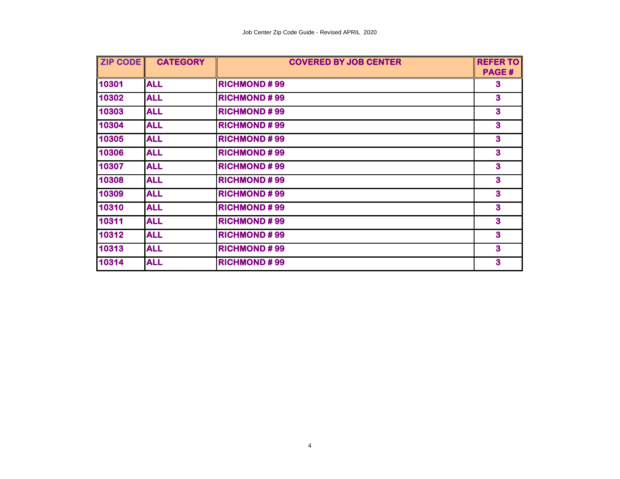| <b>ZIP CODE</b> | <b>CATEGORY</b> | <b>COVERED BY JOB CENTER</b> | <b>REFER TO</b>         |
|-----------------|-----------------|------------------------------|-------------------------|
|                 |                 |                              | PAGE#                   |
| 10301           | <b>ALL</b>      | <b>RICHMOND#99</b>           | 3                       |
| 10302           | <b>ALL</b>      | <b>RICHMOND#99</b>           | $\mathbf{3}$            |
| 10303           | <b>ALL</b>      | <b>RICHMOND#99</b>           | $\mathbf{3}$            |
| 10304           | <b>ALL</b>      | <b>RICHMOND#99</b>           | $\mathbf{3}$            |
| 10305           | <b>ALL</b>      | <b>RICHMOND#99</b>           | $\mathbf{3}$            |
| 10306           | <b>ALL</b>      | <b>RICHMOND#99</b>           | 3                       |
| 10307           | <b>ALL</b>      | <b>RICHMOND#99</b>           | 3                       |
| 10308           | <b>ALL</b>      | <b>RICHMOND#99</b>           | $\overline{\mathbf{3}}$ |
| 10309           | <b>ALL</b>      | <b>RICHMOND#99</b>           | $\mathbf{3}$            |
| 10310           | <b>ALL</b>      | <b>RICHMOND#99</b>           | 3                       |
| 10311           | <b>ALL</b>      | <b>RICHMOND#99</b>           | 3                       |
| 10312           | <b>ALL</b>      | <b>RICHMOND#99</b>           | $\mathbf{3}$            |
| 10313           | <b>ALL</b>      | <b>RICHMOND#99</b>           | $\mathbf{3}$            |
| 10314           | <b>ALL</b>      | <b>RICHMOND#99</b>           | $\overline{\mathbf{3}}$ |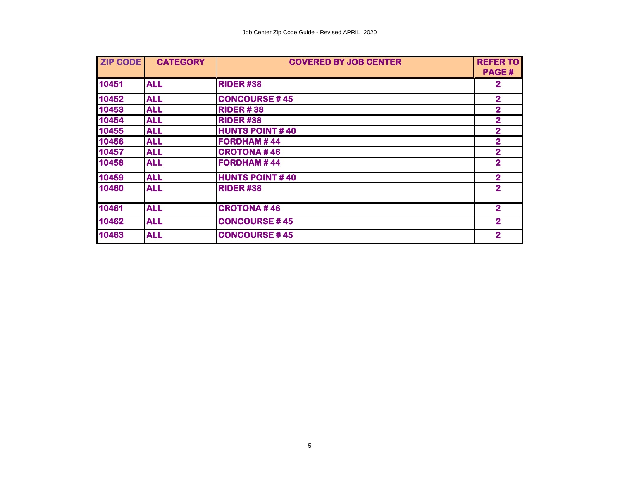| <b>ZIP CODE</b> | <b>CATEGORY</b> | <b>COVERED BY JOB CENTER</b> | <b>REFER TO</b> |
|-----------------|-----------------|------------------------------|-----------------|
|                 |                 |                              | PAGE#           |
| 10451           | <b>ALL</b>      | <b>RIDER#38</b>              | $\mathbf 2$     |
| 10452           | <b>ALL</b>      | <b>CONCOURSE #45</b>         | $\overline{2}$  |
| 10453           | <b>ALL</b>      | <b>RIDER #38</b>             | $\overline{2}$  |
| 10454           | <b>ALL</b>      | <b>RIDER#38</b>              | $\overline{2}$  |
| 10455           | <b>ALL</b>      | <b>HUNTS POINT#40</b>        | $\overline{2}$  |
| 10456           | <b>ALL</b>      | <b>FORDHAM#44</b>            | $\overline{2}$  |
| 10457           | <b>ALL</b>      | <b>CROTONA#46</b>            | $\overline{2}$  |
| 10458           | <b>ALL</b>      | <b>FORDHAM#44</b>            | $\overline{2}$  |
| 10459           | <b>ALL</b>      | <b>HUNTS POINT #40</b>       | $\overline{2}$  |
| 10460           | <b>ALL</b>      | <b>RIDER#38</b>              | $\overline{2}$  |
| 10461           | <b>ALL</b>      | <b>CROTONA#46</b>            | $\overline{2}$  |
| 10462           | <b>ALL</b>      | <b>CONCOURSE #45</b>         | $\overline{2}$  |
| 10463           | <b>ALL</b>      | <b>CONCOURSE #45</b>         | $\overline{2}$  |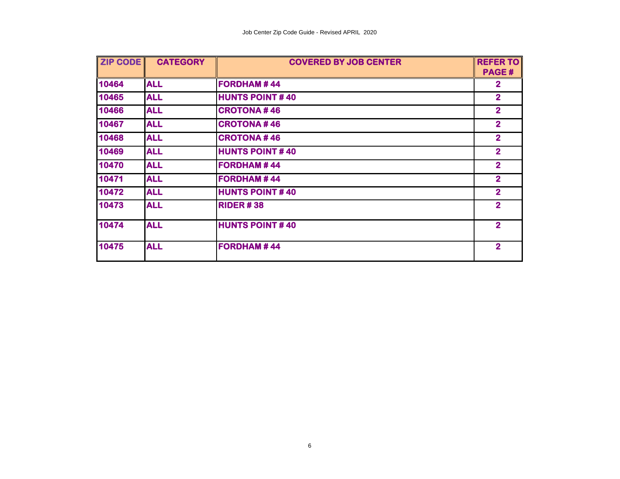| <b>ZIP CODE</b> | <b>CATEGORY</b> | <b>COVERED BY JOB CENTER</b> | <b>REFER TO</b><br><b>PAGE#</b> |
|-----------------|-----------------|------------------------------|---------------------------------|
| 10464           | <b>ALL</b>      | <b>FORDHAM#44</b>            | $\overline{2}$                  |
| 10465           | <b>ALL</b>      | <b>HUNTS POINT #40</b>       | $\overline{2}$                  |
| 10466           | <b>ALL</b>      | <b>CROTONA#46</b>            | $\overline{2}$                  |
| 10467           | <b>ALL</b>      | <b>CROTONA#46</b>            | $\overline{2}$                  |
| 10468           | <b>ALL</b>      | <b>CROTONA#46</b>            | $\overline{2}$                  |
| 10469           | <b>ALL</b>      | <b>HUNTS POINT#40</b>        | $\overline{\mathbf{2}}$         |
| 10470           | <b>ALL</b>      | <b>FORDHAM#44</b>            | $\overline{\mathbf{2}}$         |
| 10471           | <b>ALL</b>      | <b>FORDHAM#44</b>            | $\overline{2}$                  |
| 10472           | <b>ALL</b>      | <b>HUNTS POINT #40</b>       | $\overline{2}$                  |
| 10473           | <b>ALL</b>      | <b>RIDER #38</b>             | $\overline{2}$                  |
| 10474           | <b>ALL</b>      | <b>HUNTS POINT#40</b>        | $\overline{2}$                  |
| 10475           | <b>ALL</b>      | <b>FORDHAM#44</b>            | $\overline{2}$                  |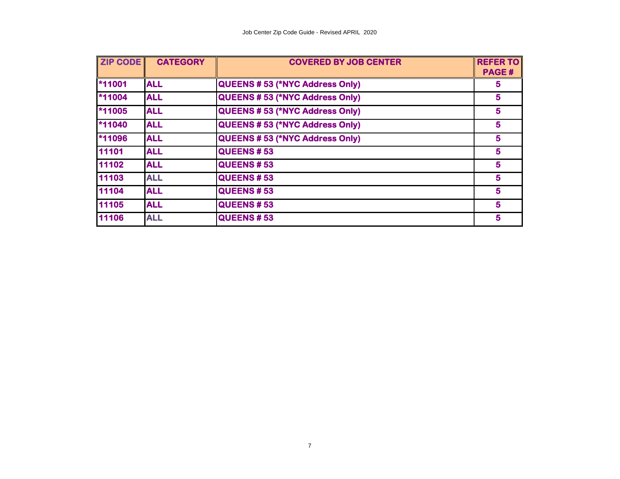| <b>ZIP CODE</b> | <b>CATEGORY</b> | <b>COVERED BY JOB CENTER</b>          | <b>REFER TO</b><br>PAGE# |
|-----------------|-----------------|---------------------------------------|--------------------------|
| *11001          | <b>ALL</b>      | QUEENS # 53 (*NYC Address Only)       |                          |
| $*11004$        | <b>ALL</b>      | QUEENS #53 (*NYC Address Only)        | 5                        |
| *11005          | <b>ALL</b>      | <b>QUEENS #53 (*NYC Address Only)</b> | 5                        |
| $*11040$        | <b>ALL</b>      | <b>QUEENS #53 (*NYC Address Only)</b> | 5                        |
| *11096          | <b>ALL</b>      | <b>QUEENS #53 (*NYC Address Only)</b> | 5                        |
| 11101           | <b>ALL</b>      | <b>QUEENS #53</b>                     | 5                        |
| 11102           | <b>ALL</b>      | <b>QUEENS # 53</b>                    | 5                        |
| 11103           | <b>ALL</b>      | <b>QUEENS #53</b>                     | 5                        |
| 11104           | <b>ALL</b>      | <b>QUEENS #53</b>                     | 5                        |
| 11105           | <b>ALL</b>      | <b>QUEENS #53</b>                     | 5                        |
| 11106           | <b>ALL</b>      | <b>QUEENS # 53</b>                    | 5                        |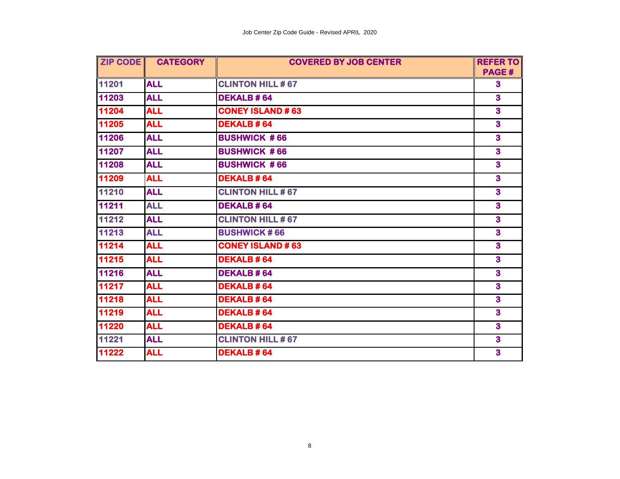| <b>ZIP CODE</b> | <b>CATEGORY</b> | <b>COVERED BY JOB CENTER</b> | <b>REFER TO</b>         |
|-----------------|-----------------|------------------------------|-------------------------|
|                 |                 |                              | PAGE#                   |
| 11201           | <b>ALL</b>      | <b>CLINTON HILL #67</b>      | $\mathbf{3}$            |
| 11203           | <b>ALL</b>      | <b>DEKALB#64</b>             | $\overline{\mathbf{3}}$ |
| 11204           | <b>ALL</b>      | <b>CONEY ISLAND #63</b>      | $\overline{\mathbf{3}}$ |
| 11205           | <b>ALL</b>      | <b>DEKALB#64</b>             | $\mathbf{3}$            |
| 11206           | <b>ALL</b>      | <b>BUSHWICK #66</b>          | $\overline{\mathbf{3}}$ |
| 11207           | <b>ALL</b>      | <b>BUSHWICK #66</b>          | $\overline{\mathbf{3}}$ |
| 11208           | <b>ALL</b>      | <b>BUSHWICK #66</b>          | $\mathbf{3}$            |
| 11209           | <b>ALL</b>      | <b>DEKALB#64</b>             | $\overline{\mathbf{3}}$ |
| 11210           | <b>ALL</b>      | <b>CLINTON HILL #67</b>      | $\overline{\mathbf{3}}$ |
| 11211           | <b>ALL</b>      | <b>DEKALB#64</b>             | $\overline{\mathbf{3}}$ |
| 11212           | <b>ALL</b>      | <b>CLINTON HILL #67</b>      | $\mathbf{3}$            |
| 11213           | <b>ALL</b>      | <b>BUSHWICK #66</b>          | $\mathbf{3}$            |
| 11214           | <b>ALL</b>      | <b>CONEY ISLAND #63</b>      | $\mathbf{3}$            |
| 11215           | <b>ALL</b>      | <b>DEKALB#64</b>             | $\overline{\mathbf{3}}$ |
| 11216           | <b>ALL</b>      | <b>DEKALB#64</b>             | $\overline{\mathbf{3}}$ |
| 11217           | <b>ALL</b>      | <b>DEKALB#64</b>             | $\mathbf{3}$            |
| 11218           | <b>ALL</b>      | <b>DEKALB#64</b>             | $\overline{\mathbf{3}}$ |
| 11219           | <b>ALL</b>      | <b>DEKALB#64</b>             | $\overline{\mathbf{3}}$ |
| 11220           | <b>ALL</b>      | <b>DEKALB#64</b>             | $\mathbf{3}$            |
| 11221           | <b>ALL</b>      | <b>CLINTON HILL #67</b>      | $\overline{\mathbf{3}}$ |
| 11222           | <b>ALL</b>      | <b>DEKALB#64</b>             | $\overline{\mathbf{3}}$ |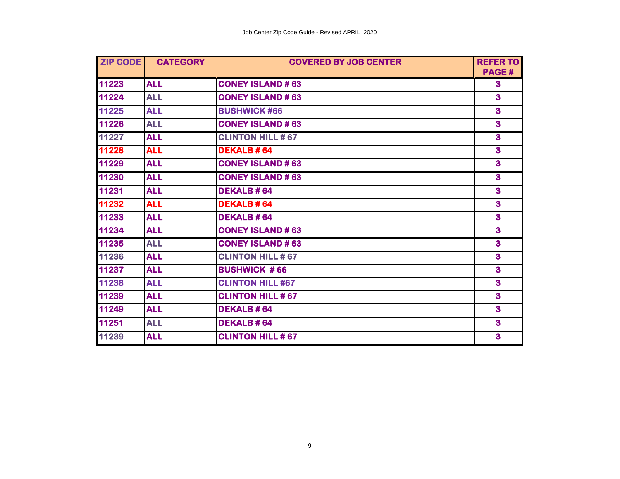| ZIP CODE | <b>CATEGORY</b> | <b>COVERED BY JOB CENTER</b> | <b>REFER TO</b>         |
|----------|-----------------|------------------------------|-------------------------|
|          |                 |                              | PAGE#                   |
| 11223    | <b>ALL</b>      | <b>CONEY ISLAND #63</b>      | $\bf{3}$                |
| 11224    | <b>ALL</b>      | <b>CONEY ISLAND #63</b>      | $\overline{\mathbf{3}}$ |
| 11225    | <b>ALL</b>      | <b>BUSHWICK #66</b>          | $\overline{\mathbf{3}}$ |
| 11226    | <b>ALL</b>      | <b>CONEY ISLAND #63</b>      | $\overline{\mathbf{3}}$ |
| 11227    | <b>ALL</b>      | <b>CLINTON HILL #67</b>      | $\overline{\mathbf{3}}$ |
| 11228    | <b>ALL</b>      | <b>DEKALB#64</b>             | $\overline{\mathbf{3}}$ |
| 11229    | <b>ALL</b>      | <b>CONEY ISLAND #63</b>      | $\overline{\mathbf{3}}$ |
| 11230    | <b>ALL</b>      | <b>CONEY ISLAND #63</b>      | $\overline{\mathbf{3}}$ |
| 11231    | <b>ALL</b>      | <b>DEKALB#64</b>             | $\overline{\mathbf{3}}$ |
| 11232    | <b>ALL</b>      | <b>DEKALB#64</b>             | $\overline{\mathbf{3}}$ |
| 11233    | <b>ALL</b>      | <b>DEKALB#64</b>             | $\overline{\mathbf{3}}$ |
| 11234    | <b>ALL</b>      | <b>CONEY ISLAND #63</b>      | $\overline{\mathbf{3}}$ |
| 11235    | <b>ALL</b>      | <b>CONEY ISLAND #63</b>      | 3                       |
| 11236    | <b>ALL</b>      | <b>CLINTON HILL #67</b>      | 3                       |
| 11237    | <b>ALL</b>      | <b>BUSHWICK #66</b>          | $\overline{\mathbf{3}}$ |
| 11238    | <b>ALL</b>      | <b>CLINTON HILL #67</b>      | $\overline{\mathbf{3}}$ |
| 11239    | <b>ALL</b>      | <b>CLINTON HILL #67</b>      | 3                       |
| 11249    | <b>ALL</b>      | <b>DEKALB#64</b>             | $\overline{\mathbf{3}}$ |
| 11251    | <b>ALL</b>      | <b>DEKALB#64</b>             |                         |
| 11239    | <b>ALL</b>      | <b>CLINTON HILL #67</b>      | $\overline{\mathbf{3}}$ |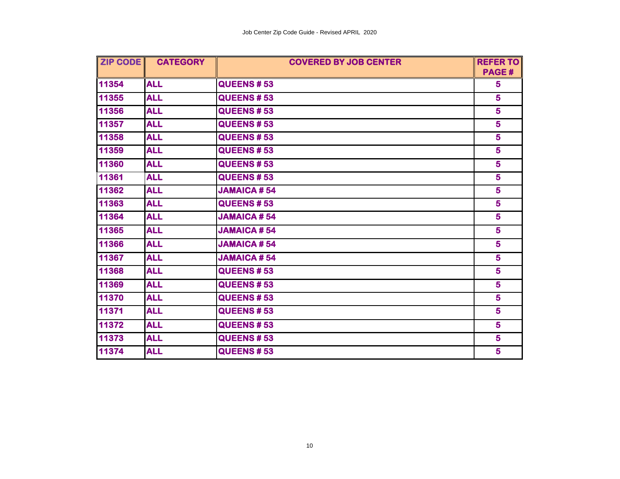| ZIP CODE | <b>CATEGORY</b> | <b>COVERED BY JOB CENTER</b> | <b>REFER TO</b> |
|----------|-----------------|------------------------------|-----------------|
|          |                 |                              | PAGE#           |
| 11354    | <b>ALL</b>      | <b>QUEENS #53</b>            | 5               |
| 11355    | <b>ALL</b>      | <b>QUEENS #53</b>            | 5 <sup>5</sup>  |
| 11356    | <b>ALL</b>      | <b>QUEENS #53</b>            | 5               |
| 11357    | <b>ALL</b>      | <b>QUEENS #53</b>            | 5               |
| 11358    | <b>ALL</b>      | <b>QUEENS # 53</b>           | 5               |
| 11359    | <b>ALL</b>      | <b>QUEENS #53</b>            | 5               |
| 11360    | <b>ALL</b>      | <b>QUEENS #53</b>            | $5\phantom{1}$  |
| 11361    | <b>ALL</b>      | <b>QUEENS # 53</b>           | 5               |
| 11362    | <b>ALL</b>      | <b>JAMAICA #54</b>           | 5               |
| 11363    | <b>ALL</b>      | <b>QUEENS #53</b>            | 5               |
| 11364    | <b>ALL</b>      | <b>JAMAICA #54</b>           | 5               |
| 11365    | <b>ALL</b>      | <b>JAMAICA #54</b>           | 5               |
| 11366    | <b>ALL</b>      | <b>JAMAICA #54</b>           | 5               |
| 11367    | <b>ALL</b>      | <b>JAMAICA#54</b>            | 5               |
| 11368    | <b>ALL</b>      | <b>QUEENS #53</b>            | 5               |
| 11369    | <b>ALL</b>      | <b>QUEENS #53</b>            | 5               |
| 11370    | <b>ALL</b>      | <b>QUEENS # 53</b>           | 5               |
| 11371    | <b>ALL</b>      | <b>QUEENS #53</b>            | 5               |
| 11372    | <b>ALL</b>      | <b>QUEENS#53</b>             | 5               |
| 11373    | <b>ALL</b>      | <b>QUEENS # 53</b>           | 5               |
| 11374    | <b>ALL</b>      | <b>QUEENS # 53</b>           | 5               |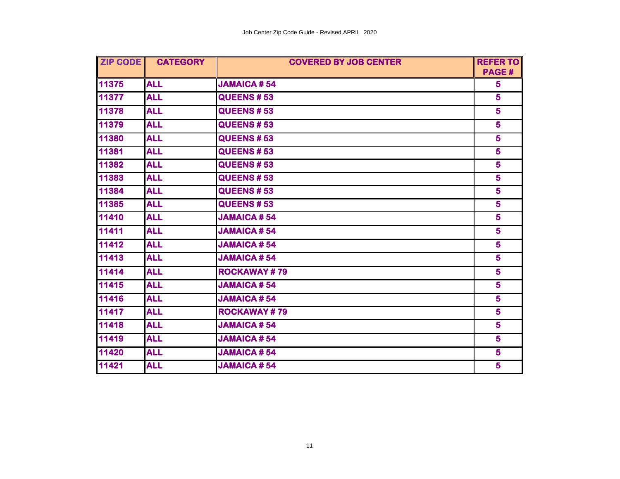| <b>ZIP CODE</b> | <b>CATEGORY</b> | <b>COVERED BY JOB CENTER</b><br><b>REFER TO</b> |                         |
|-----------------|-----------------|-------------------------------------------------|-------------------------|
|                 |                 |                                                 | <b>PAGE#</b>            |
| 11375           | <b>ALL</b>      | <b>JAMAICA #54</b>                              | 5                       |
| 11377           | <b>ALL</b>      | <b>QUEENS #53</b>                               | 5                       |
| 11378           | <b>ALL</b>      | <b>QUEENS #53</b>                               | 5                       |
| 11379           | <b>ALL</b>      | <b>QUEENS #53</b>                               | 5                       |
| 11380           | <b>ALL</b>      | <b>QUEENS #53</b>                               | 5                       |
| 11381           | <b>ALL</b>      | <b>QUEENS #53</b>                               | 5                       |
| 11382           | <b>ALL</b>      | <b>QUEENS #53</b>                               | 5 <sup>5</sup>          |
| 11383           | <b>ALL</b>      | <b>QUEENS # 53</b>                              | 5                       |
| 11384           | <b>ALL</b>      | <b>QUEENS #53</b>                               | $\overline{\mathbf{5}}$ |
| 11385           | <b>ALL</b>      | <b>QUEENS # 53</b>                              | 5                       |
| 11410           | <b>ALL</b>      | <b>JAMAICA #54</b>                              | 5                       |
| 11411           | <b>ALL</b>      | <b>JAMAICA #54</b>                              | 5                       |
| 11412           | <b>ALL</b>      | <b>JAMAICA #54</b>                              | 5                       |
| 11413           | <b>ALL</b>      | <b>JAMAICA#54</b>                               | 5 <sup>5</sup>          |
| 11414           | <b>ALL</b>      | <b>ROCKAWAY#79</b>                              | 5                       |
| 11415           | <b>ALL</b>      | <b>JAMAICA #54</b>                              | 5                       |
| 11416           | <b>ALL</b>      | <b>JAMAICA #54</b>                              | 5 <sup>5</sup>          |
| 11417           | <b>ALL</b>      | <b>ROCKAWAY#79</b>                              | $5\phantom{a}$          |
| 11418           | <b>ALL</b>      | <b>JAMAICA #54</b>                              | 5                       |
| 11419           | <b>ALL</b>      | <b>JAMAICA#54</b>                               | 5                       |
| 11420           | <b>ALL</b>      | <b>JAMAICA #54</b>                              | 5                       |
| 11421           | <b>ALL</b>      | <b>JAMAICA #54</b>                              | 5                       |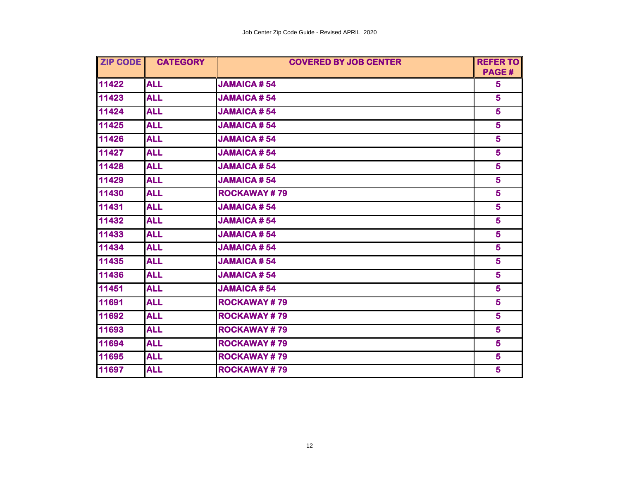| <b>ZIP CODE CATEGORY</b><br><b>COVERED BY JOB CENTER</b> |            | <b>REFER TO</b>    |                         |
|----------------------------------------------------------|------------|--------------------|-------------------------|
|                                                          |            |                    | PAGE#                   |
| 11422                                                    | <b>ALL</b> | <b>JAMAICA #54</b> | 5                       |
| 11423                                                    | <b>ALL</b> | <b>JAMAICA #54</b> | 5                       |
| 11424                                                    | <b>ALL</b> | <b>JAMAICA#54</b>  | 5 <sup>1</sup>          |
| 11425                                                    | <b>ALL</b> | <b>JAMAICA#54</b>  | 5                       |
| 11426                                                    | <b>ALL</b> | <b>JAMAICA#54</b>  | $\overline{\mathbf{5}}$ |
| 11427                                                    | <b>ALL</b> | <b>JAMAICA#54</b>  | 5 <sup>1</sup>          |
| 11428                                                    | <b>ALL</b> | <b>JAMAICA #54</b> | $5\phantom{1}$          |
| 11429                                                    | <b>ALL</b> | <b>JAMAICA#54</b>  | 5 <sup>1</sup>          |
| 11430                                                    | <b>ALL</b> | <b>ROCKAWAY#79</b> | 5                       |
| 11431                                                    | <b>ALL</b> | <b>JAMAICA #54</b> | 5                       |
| 11432                                                    | <b>ALL</b> | <b>JAMAICA#54</b>  | $\overline{\mathbf{5}}$ |
| 11433                                                    | <b>ALL</b> | <b>JAMAICA#54</b>  | 5 <sup>1</sup>          |
| 11434                                                    | <b>ALL</b> | <b>JAMAICA #54</b> | 5 <sup>1</sup>          |
| 11435                                                    | <b>ALL</b> | <b>JAMAICA #54</b> | 5                       |
| 11436                                                    | <b>ALL</b> | <b>JAMAICA #54</b> | $5\phantom{1}$          |
| 11451                                                    | <b>ALL</b> | <b>JAMAICA#54</b>  | $\overline{\mathbf{5}}$ |
| 11691                                                    | <b>ALL</b> | <b>ROCKAWAY#79</b> | 5                       |
| 11692                                                    | <b>ALL</b> | <b>ROCKAWAY#79</b> | 5 <sup>5</sup>          |
| 11693                                                    | <b>ALL</b> | <b>ROCKAWAY#79</b> | 5 <sup>1</sup>          |
| 11694                                                    | <b>ALL</b> | <b>ROCKAWAY#79</b> | 5                       |
| 11695                                                    | <b>ALL</b> | <b>ROCKAWAY#79</b> |                         |
| 11697                                                    | <b>ALL</b> | <b>ROCKAWAY#79</b> | 5                       |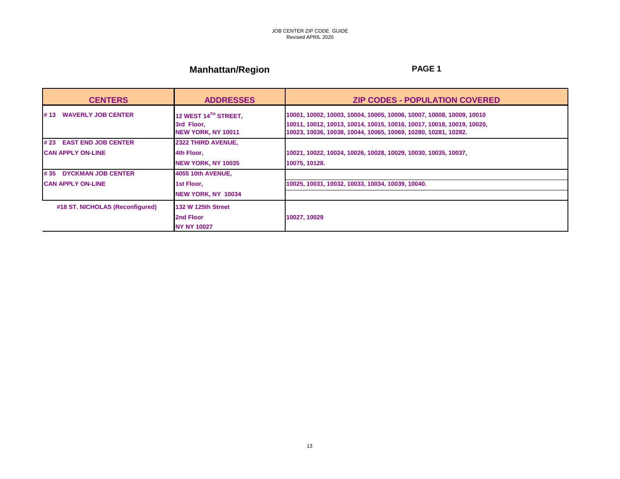# **Manhattan/Region** *PAGE 1*

| <b>CENTERS</b>                    | <b>ADDRESSES</b>                                         | <b>ZIP CODES - POPULATION COVERED</b>                                                                                                                                                                           |
|-----------------------------------|----------------------------------------------------------|-----------------------------------------------------------------------------------------------------------------------------------------------------------------------------------------------------------------|
| <b>WAVERLY JOB CENTER</b><br># 13 | 12 WEST 14TH STREET,<br>3rd Floor.<br>NEW YORK, NY 10011 | 10001, 10002, 10003, 10004, 10005, 10006, 10007, 10008, 10009, 10010<br>10011, 10012, 10013, 10014, 10015, 10016, 10017, 10018, 10019, 10020,<br>10023, 10036, 10038, 10044, 10065, 10069, 10280, 10281, 10282. |
| # 23 EAST END JOB CENTER          | <b>2322 THIRD AVENUE.</b>                                |                                                                                                                                                                                                                 |
| <b>CAN APPLY ON-LINE</b>          | 4th Floor.                                               | 10021, 10022, 10024, 10026, 10028, 10029, 10030, 10035, 10037,                                                                                                                                                  |
|                                   | NEW YORK, NY 10035                                       | 10075, 10128.                                                                                                                                                                                                   |
| #35 DYCKMAN JOB CENTER            | 4055 10th AVENUE,                                        |                                                                                                                                                                                                                 |
| <b>CAN APPLY ON-LINE</b>          | 1st Floor.                                               | 10025, 10031, 10032, 10033, 10034, 10039, 10040.                                                                                                                                                                |
|                                   | <b>INEW YORK, NY 10034</b>                               |                                                                                                                                                                                                                 |
| #18 ST. NICHOLAS (Reconfigured)   | <b>132 W 125th Street</b>                                |                                                                                                                                                                                                                 |
|                                   | 2nd Floor                                                | 10027, 10029                                                                                                                                                                                                    |
|                                   | <b>INY NY 10027</b>                                      |                                                                                                                                                                                                                 |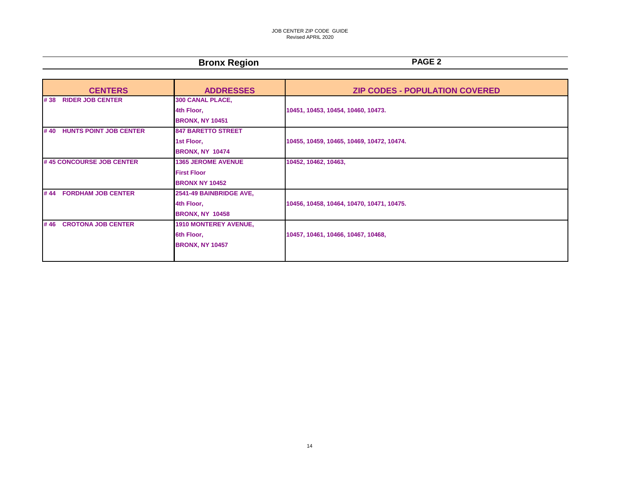### JOB CENTER ZIP CODE GUIDE Revised APRIL 2020

## **Bronx Region PAGE 2**

| <b>CENTERS</b>                       | <b>ADDRESSES</b>                                                         | <b>ZIP CODES - POPULATION COVERED</b>     |
|--------------------------------------|--------------------------------------------------------------------------|-------------------------------------------|
| #38 RIDER JOB CENTER                 | 300 CANAL PLACE,<br>4th Floor,<br><b>BRONX, NY 10451</b>                 | 10451, 10453, 10454, 10460, 10473.        |
| <b>HUNTS POINT JOB CENTER</b><br>#40 | <b>847 BARETTO STREET</b><br>1st Floor,<br><b>BRONX, NY 10474</b>        | 10455, 10459, 10465, 10469, 10472, 10474. |
| #45 CONCOURSE JOB CENTER             | <b>1365 JEROME AVENUE</b><br><b>First Floor</b><br><b>BRONX NY 10452</b> | 10452, 10462, 10463,                      |
| <b>FORDHAM JOB CENTER</b><br>#44     | 2541-49 BAINBRIDGE AVE,<br>4th Floor,<br><b>BRONX, NY 10458</b>          | 10456, 10458, 10464, 10470, 10471, 10475. |
| #46 CROTONA JOB CENTER               | <b>1910 MONTEREY AVENUE,</b><br>6th Floor,<br><b>BRONX, NY 10457</b>     | 10457, 10461, 10466, 10467, 10468,        |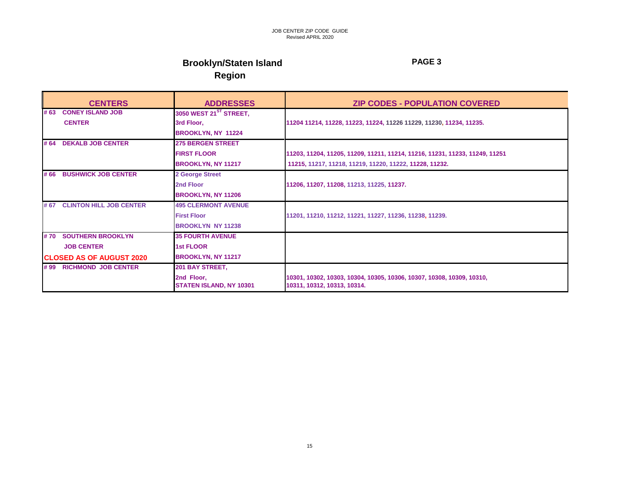# **Brooklyn/Staten Island PAGE 3 Region**

| <b>CENTERS</b>                                   | <b>ADDRESSES</b>                                 | <b>ZIP CODES - POPULATION COVERED</b>                                                                |
|--------------------------------------------------|--------------------------------------------------|------------------------------------------------------------------------------------------------------|
| <b>CONEY ISLAND JOB</b><br># 63<br><b>CENTER</b> | 3050 WEST 21 <sup>ST</sup> STREET,<br>3rd Floor, | 11204 11214, 11228, 11223, 11224, 11226 11229, 11230, 11234, 11235.                                  |
|                                                  | <b>BROOKLYN, NY 11224</b>                        |                                                                                                      |
| <b>DEKALB JOB CENTER</b><br># 64                 | <b>275 BERGEN STREET</b>                         |                                                                                                      |
|                                                  | <b>FIRST FLOOR</b>                               | 11203, 11204, 11205, 11209, 11211, 11214, 11216, 11231, 11233, 11249, 11251                          |
|                                                  | <b>BROOKLYN, NY 11217</b>                        | 11215, 11217, 11218, 11219, 11220, 11222, 11228, 11232.                                              |
| <b>BUSHWICK JOB CENTER</b><br># 66               | 2 George Street                                  |                                                                                                      |
|                                                  | 2nd Floor                                        | 11206, 11207, 11208, 11213, 11225, 11237.                                                            |
|                                                  | <b>BROOKLYN, NY 11206</b>                        |                                                                                                      |
| #67 CLINTON HILL JOB CENTER                      | <b>495 CLERMONT AVENUE</b>                       |                                                                                                      |
|                                                  | <b>First Floor</b>                               | 11201, 11210, 11212, 11221, 11227, 11236, 11238, 11239.                                              |
|                                                  | <b>BROOKLYN NY 11238</b>                         |                                                                                                      |
| # 70<br><b>SOUTHERN BROOKLYN</b>                 | <b>35 FOURTH AVENUE</b>                          |                                                                                                      |
| <b>JOB CENTER</b>                                | <b>1st FLOOR</b>                                 |                                                                                                      |
| <b>ICLOSED AS OF AUGUST 2020</b>                 | <b>BROOKLYN, NY 11217</b>                        |                                                                                                      |
| #99 RICHMOND JOB CENTER                          | 201 BAY STREET,                                  |                                                                                                      |
|                                                  | 2nd Floor,<br><b>STATEN ISLAND, NY 10301</b>     | 10301, 10302, 10303, 10304, 10305, 10306, 10307, 10308, 10309, 10310,<br>10311, 10312, 10313, 10314. |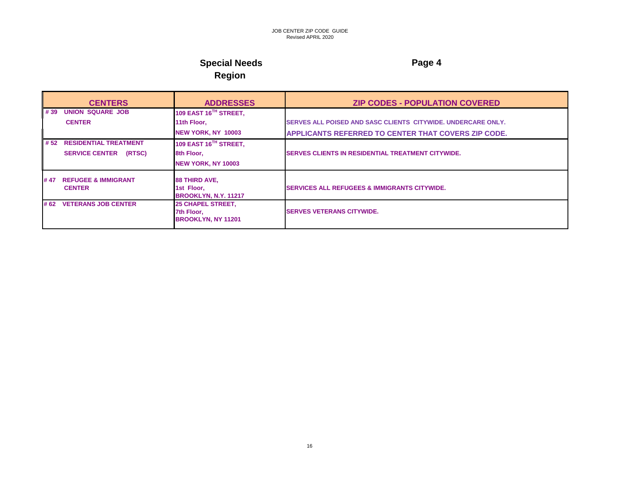### **Special Needs** Page 4 **Region**

### **CENTERS ADDRESSES ZIP CODES - POPULATION COVERED # 39 UNION SQUARE JOB 109 EAST 16TH STREET, CENTER 11th Floor, SERVES ALL POISED AND SASC CLIENTS CITYWIDE. UNDERCARE ONLY. NEW YORK, NY 10003 APPLICANTS REFERRED TO CENTER THAT COVERS ZIP CODE. # 52 RESIDENTIAL TREATMENT 109 EAST 16TH STREET, SERVICE CENTER (RTSC) 8th Floor, SERVES CLIENTS IN RESIDENTIAL TREATMENT CITYWIDE. NEW YORK, NY 10003 # 47 REFUGEE & IMMIGRANT 88 THIRD AVE, SERVICES ALL REFUGEES & IMMIGRANTS CITYWIDE. BROOKLYN, N.Y. 11217 # 62 VETERANS JOB CENTER 25 CHAPEL STREET, 7th Floor, SERVES VETERANS CITYWIDE. BROOKLYN, NY 11201**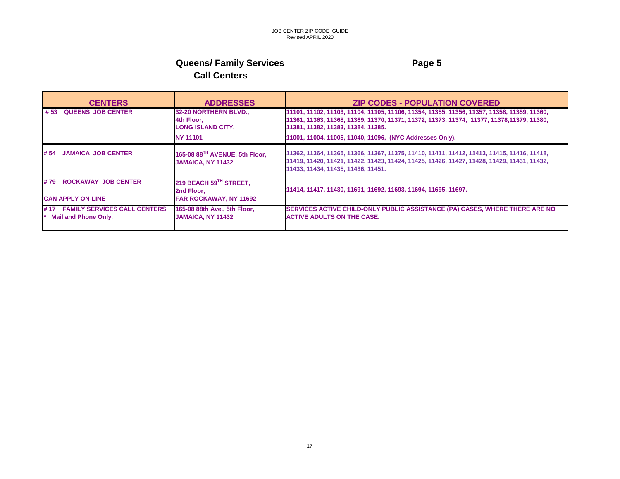## **Queens/ Family Services Access Access Access Page 5 Call Centers**

| <b>CENTERS</b>                                                  | <b>ADDRESSES</b>                                                      | <b>ZIP CODES - POPULATION COVERED</b>                                                                                                                                                                                          |
|-----------------------------------------------------------------|-----------------------------------------------------------------------|--------------------------------------------------------------------------------------------------------------------------------------------------------------------------------------------------------------------------------|
| <b>QUEENS JOB CENTER</b><br># 53                                | 32-20 NORTHERN BLVD.,<br>4th Floor,<br><b>LONG ISLAND CITY,</b>       | 11101, 11102, 11103, 11104, 11105, 11106, 11354, 11355, 11356, 11357, 11358, 11359, 11360,<br>11361, 11363, 11368, 11369, 11370, 11371, 11372, 11373, 11374, 11377, 11378, 11379, 11380,<br>11381, 11382, 11383, 11384, 11385. |
|                                                                 | <b>NY 11101</b>                                                       | 11001, 11004, 11005, 11040, 11096, (NYC Addresses Only).                                                                                                                                                                       |
| <b>JAMAICA JOB CENTER</b><br># 54                               | 165-08 88TH AVENUE, 5th Floor,<br><b>JAMAICA, NY 11432</b>            | 11362, 11364, 11365, 11366, 11367, 11375, 11410, 11411, 11412, 11413, 11415, 11416, 11418,<br>11419, 11420, 11421, 11422, 11423, 11424, 11425, 11426, 11427, 11428, 11429, 11431, 11432,<br>11433, 11434, 11435, 11436, 11451. |
| #79 ROCKAWAY JOB CENTER<br><b>CAN APPLY ON-LINE</b>             | 219 BEACH 59TH STREET,<br>2nd Floor.<br><b>FAR ROCKAWAY, NY 11692</b> | 11414, 11417, 11430, 11691, 11692, 11693, 11694, 11695, 11697.                                                                                                                                                                 |
| #17 FAMILY SERVICES CALL CENTERS<br><b>Mail and Phone Only.</b> | 165-08 88th Ave., 5th Floor,<br><b>JAMAICA, NY 11432</b>              | SERVICES ACTIVE CHILD-ONLY PUBLIC ASSISTANCE (PA) CASES, WHERE THERE ARE NO<br><b>ACTIVE ADULTS ON THE CASE.</b>                                                                                                               |